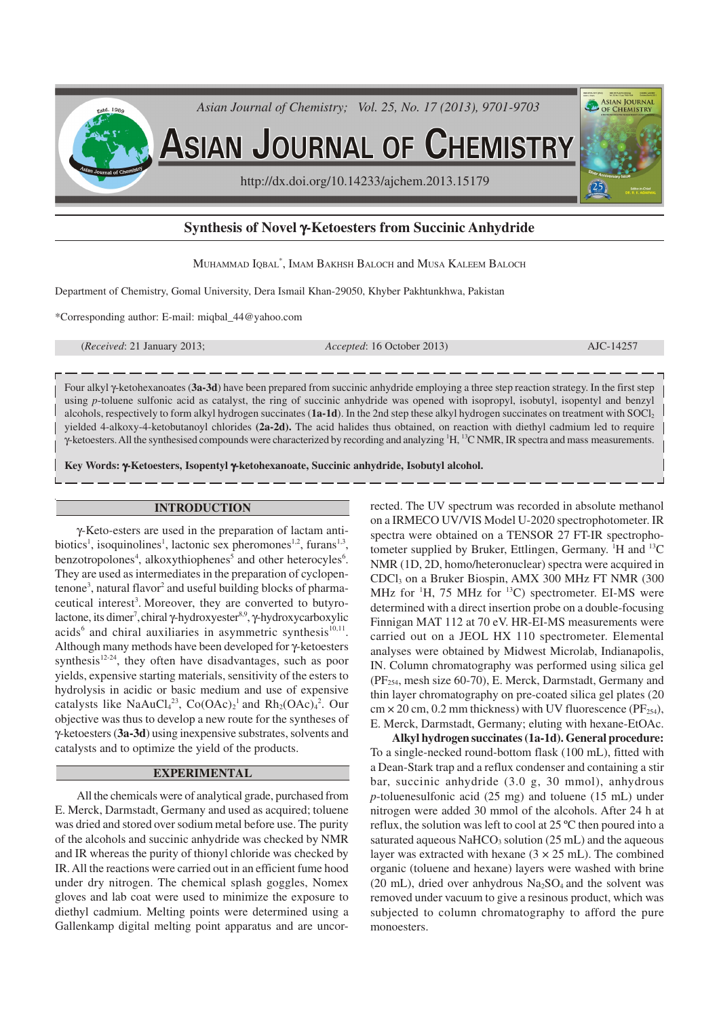

**ASIAN JOURNAL OF CHEMISTRY** 

http://dx.doi.org/10.14233/ajchem.2013.15179

# **Synthesis of Novel** γ**-Ketoesters from Succinic Anhydride**

MUHAMMAD IQBAL\* , IMAM BAKHSH BALOCH and MUSA KALEEM BALOCH

Department of Chemistry, Gomal University, Dera Ismail Khan-29050, Khyber Pakhtunkhwa, Pakistan

\*Corresponding author: E-mail: miqbal\_44@yahoo.com

(*Received*: 21 January 2013; *Accepted*: 16 October 2013) AJC-14257

ASIAN JOURNA

Four alkyl γ-ketohexanoates (**3a-3d**) have been prepared from succinic anhydride employing a three step reaction strategy. In the first step using *p*-toluene sulfonic acid as catalyst, the ring of succinic anhydride was opened with isopropyl, isobutyl, isopentyl and benzyl alcohols, respectively to form alkyl hydrogen succinates (**1a-1d**). In the 2nd step these alkyl hydrogen succinates on treatment with SOCl<sup>2</sup> yielded 4-alkoxy-4-ketobutanoyl chlorides **(2a-2d).** The acid halides thus obtained, on reaction with diethyl cadmium led to require γ-ketoesters. All the synthesised compounds were characterized by recording and analyzing <sup>1</sup>H, <sup>13</sup>C NMR, IR spectra and mass measurements.

**Key Words:** γ**-Ketoesters, Isopentyl** γ**-ketohexanoate, Succinic anhydride, Isobutyl alcohol.**

## **INTRODUCTION**

γ-Keto-esters are used in the preparation of lactam antibiotics<sup>1</sup>, isoquinolines<sup>1</sup>, lactonic sex pheromones<sup>1,2</sup>, furans<sup>1,3</sup>, benzotropolones<sup>4</sup>, alkoxythiophenes<sup>5</sup> and other heterocyles<sup>6</sup>. They are used as intermediates in the preparation of cyclopentenone<sup>3</sup>, natural flavor<sup>2</sup> and useful building blocks of pharmaceutical interest<sup>3</sup>. Moreover, they are converted to butyrolactone, its dimer<sup>7</sup>, chiral γ-hydroxyester<sup>8,9</sup>, γ-hydroxycarboxylic acids<sup>6</sup> and chiral auxiliaries in asymmetric synthesis<sup>10,11</sup>. Although many methods have been developed for γ-ketoesters synthesis<sup>12-24</sup>, they often have disadvantages, such as poor yields, expensive starting materials, sensitivity of the esters to hydrolysis in acidic or basic medium and use of expensive catalysts like NaAuCl<sub>4</sub><sup>23</sup>, Co(OAc)<sub>2</sub><sup>1</sup> and Rh<sub>2</sub>(OAc)<sub>4</sub><sup>2</sup>. Our objective was thus to develop a new route for the syntheses of γ-ketoesters (**3a-3d**) using inexpensive substrates, solvents and catalysts and to optimize the yield of the products.

### **EXPERIMENTAL**

All the chemicals were of analytical grade, purchased from E. Merck, Darmstadt, Germany and used as acquired; toluene was dried and stored over sodium metal before use. The purity of the alcohols and succinic anhydride was checked by NMR and IR whereas the purity of thionyl chloride was checked by IR. All the reactions were carried out in an efficient fume hood under dry nitrogen. The chemical splash goggles, Nomex gloves and lab coat were used to minimize the exposure to diethyl cadmium. Melting points were determined using a Gallenkamp digital melting point apparatus and are uncorrected. The UV spectrum was recorded in absolute methanol on a IRMECO UV/VIS Model U-2020 spectrophotometer. IR spectra were obtained on a TENSOR 27 FT-IR spectrophotometer supplied by Bruker, Ettlingen, Germany. <sup>1</sup>H and <sup>13</sup>C NMR (1D, 2D, homo/heteronuclear) spectra were acquired in CDCl3 on a Bruker Biospin, AMX 300 MHz FT NMR (300 MHz for  ${}^{1}H$ , 75 MHz for  ${}^{13}C$ ) spectrometer. EI-MS were determined with a direct insertion probe on a double-focusing Finnigan MAT 112 at 70 eV. HR-EI-MS measurements were carried out on a JEOL HX 110 spectrometer. Elemental analyses were obtained by Midwest Microlab, Indianapolis, IN. Column chromatography was performed using silica gel (PF254, mesh size 60-70), E. Merck, Darmstadt, Germany and thin layer chromatography on pre-coated silica gel plates (20  $cm \times 20$  cm, 0.2 mm thickness) with UV fluorescence (PF<sub>254</sub>), E. Merck, Darmstadt, Germany; eluting with hexane-EtOAc.

**Alkyl hydrogen succinates (1a-1d). General procedure:** To a single-necked round-bottom flask (100 mL), fitted with a Dean-Stark trap and a reflux condenser and containing a stir bar, succinic anhydride (3.0 g, 30 mmol), anhydrous *p*-toluenesulfonic acid (25 mg) and toluene (15 mL) under nitrogen were added 30 mmol of the alcohols. After 24 h at reflux, the solution was left to cool at 25 ºC then poured into a saturated aqueous  $NaHCO<sub>3</sub>$  solution (25 mL) and the aqueous layer was extracted with hexane  $(3 \times 25 \text{ mL})$ . The combined organic (toluene and hexane) layers were washed with brine (20 mL), dried over anhydrous  $Na<sub>2</sub>SO<sub>4</sub>$  and the solvent was removed under vacuum to give a resinous product, which was subjected to column chromatography to afford the pure monoesters.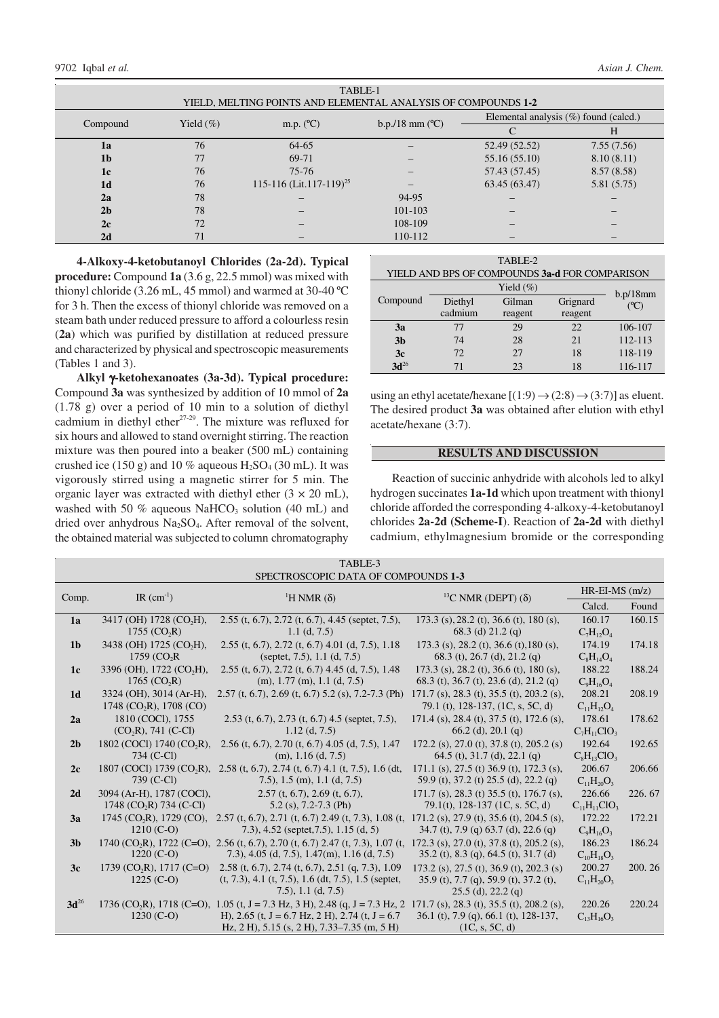| TABLE-1                                                       |               |                                     |                            |                                          |            |  |  |  |  |
|---------------------------------------------------------------|---------------|-------------------------------------|----------------------------|------------------------------------------|------------|--|--|--|--|
| YIELD, MELTING POINTS AND ELEMENTAL ANALYSIS OF COMPOUNDS 1-2 |               |                                     |                            |                                          |            |  |  |  |  |
| Compound                                                      | Yield $(\% )$ | m.p. $(^{\circ}C)$                  | $b.p./18$ mm $(^{\circ}C)$ | Elemental analysis $(\%)$ found (calcd.) |            |  |  |  |  |
|                                                               |               |                                     |                            |                                          | H          |  |  |  |  |
| 1a                                                            | 76            | 64-65                               |                            | 52.49 (52.52)                            | 7.55(7.56) |  |  |  |  |
| 1 <sub>b</sub>                                                | 77            | 69-71                               |                            | 55.16 (55.10)                            | 8.10(8.11) |  |  |  |  |
| 1c                                                            | 76            | $75 - 76$                           |                            | 57.43 (57.45)                            | 8.57(8.58) |  |  |  |  |
| 1 <sub>d</sub>                                                | 76            | 115-116 (Lit.117-119) <sup>25</sup> |                            | 63.45 (63.47)                            | 5.81(5.75) |  |  |  |  |
| 2a                                                            | 78            |                                     | 94-95                      |                                          |            |  |  |  |  |
| 2 <sub>b</sub>                                                | 78            |                                     | $101 - 103$                |                                          |            |  |  |  |  |
| 2c                                                            | 72            |                                     | 108-109                    |                                          |            |  |  |  |  |
| 2d                                                            | 71            |                                     | 110-112                    |                                          |            |  |  |  |  |

**4-Alkoxy-4-ketobutanoyl Chlorides (2a-2d). Typical procedure:** Compound **1a** (3.6 g, 22.5 mmol) was mixed with thionyl chloride (3.26 mL, 45 mmol) and warmed at 30-40 ºC for 3 h. Then the excess of thionyl chloride was removed on a steam bath under reduced pressure to afford a colourless resin (**2a**) which was purified by distillation at reduced pressure and characterized by physical and spectroscopic measurements (Tables 1 and 3).

**Alkyl** γ**-ketohexanoates (3a-3d). Typical procedure:** Compound **3a** was synthesized by addition of 10 mmol of **2a** (1.78 g) over a period of 10 min to a solution of diethyl cadmium in diethyl ether $27-29$ . The mixture was refluxed for six hours and allowed to stand overnight stirring. The reaction mixture was then poured into a beaker (500 mL) containing crushed ice (150 g) and 10 % aqueous  $H_2SO_4$  (30 mL). It was vigorously stirred using a magnetic stirrer for 5 min. The organic layer was extracted with diethyl ether  $(3 \times 20 \text{ mL})$ , washed with 50  $%$  aqueous NaHCO<sub>3</sub> solution (40 mL) and dried over anhydrous Na2SO4. After removal of the solvent, the obtained material was subjected to column chromatography

| TABLE-2                                        |         |          |          |         |  |  |  |  |  |
|------------------------------------------------|---------|----------|----------|---------|--|--|--|--|--|
| YIELD AND BPS OF COMPOUNDS 3a-d FOR COMPARISON |         |          |          |         |  |  |  |  |  |
|                                                |         | b.p/18mm |          |         |  |  |  |  |  |
| Compound                                       | Diethyl | Gilman   | Grignard | (C)     |  |  |  |  |  |
|                                                | cadmium | reagent  | reagent  |         |  |  |  |  |  |
| 3a                                             | 77      | 29       | 22       | 106-107 |  |  |  |  |  |
| 3 <sub>b</sub>                                 | 74      | 28       | 21       | 112-113 |  |  |  |  |  |
| 3c                                             | 72.     | 27       | 18       | 118-119 |  |  |  |  |  |
| $3d^{26}$                                      | 71      | 23       | 18       | 116-117 |  |  |  |  |  |

using an ethyl acetate/hexane  $[(1:9) \rightarrow (2:8) \rightarrow (3:7)]$  as eluent. The desired product **3a** was obtained after elution with ethyl acetate/hexane (3:7).

# **RESULTS AND DISCUSSION**

Reaction of succinic anhydride with alcohols led to alkyl hydrogen succinates **1a-1d** which upon treatment with thionyl chloride afforded the corresponding 4-alkoxy-4-ketobutanoyl chlorides **2a-2d (Scheme-I**). Reaction of **2a-2d** with diethyl cadmium, ethylmagnesium bromide or the corresponding

| TABLE-3                             |                                          |                                                                                                                                            |                                                         |                     |        |  |  |  |  |
|-------------------------------------|------------------------------------------|--------------------------------------------------------------------------------------------------------------------------------------------|---------------------------------------------------------|---------------------|--------|--|--|--|--|
| SPECTROSCOPIC DATA OF COMPOUNDS 1-3 |                                          |                                                                                                                                            |                                                         |                     |        |  |  |  |  |
|                                     |                                          |                                                                                                                                            |                                                         | $HR$ -EI-MS $(m/z)$ |        |  |  |  |  |
| Comp.                               | IR $(cm^{-1})$                           | <sup>1</sup> H NMR $(\delta)$                                                                                                              | <sup>13</sup> C NMR (DEPT) $(\delta)$                   | Calcd.              | Found  |  |  |  |  |
| 1a                                  | 3417 (OH) 1728 (CO <sub>2</sub> H),      | $2.55$ (t, 6.7), 2.72 (t, 6.7), 4.45 (septet, 7.5),                                                                                        | 173.3 (s), 28.2 (t), 36.6 (t), 180 (s),                 | 160.17              | 160.15 |  |  |  |  |
|                                     | 1755 (CO,R)                              | 1.1 (d, 7.5)                                                                                                                               | 68.3 (d) $21.2$ (q)                                     | $C_7H_{12}O_4$      |        |  |  |  |  |
| 1 <sub>b</sub>                      | 3438 (OH) 1725 (CO <sub>2</sub> H),      | 2.55 (t, 6.7), 2.72 (t, 6.7) 4.01 (d, 7.5), 1.18                                                                                           | 173.3 (s), 28.2 (t), 36.6 (t), 180 (s),                 | 174.19              | 174.18 |  |  |  |  |
|                                     | $1759$ (CO <sub>2</sub> R)               | (septet, 7.5), 1.1 $(d, 7.5)$                                                                                                              | 68.3 (t), 26.7 (d), 21.2 (q)                            | $C_8H_{14}O_4$      |        |  |  |  |  |
| 1c                                  | 3396 (OH), 1722 (CO <sub>2</sub> H),     | $2.55$ (t, 6.7), 2.72 (t, 6.7) 4.45 (d, 7.5), 1.48                                                                                         | 173.3 (s), 28.2 (t), 36.6 (t), 180 (s),                 | 188.22              | 188.24 |  |  |  |  |
|                                     | 1765 (CO,R)                              | $(m), 1.77$ $(m), 1.1$ $(d, 7.5)$                                                                                                          | $68.3$ (t), 36.7 (t), 23.6 (d), 21.2 (q)                | $C_9H_{16}O_4$      |        |  |  |  |  |
| 1 <sub>d</sub>                      | 3324 (OH), 3014 (Ar-H),                  | 2.57 (t, 6.7), 2.69 (t, 6.7) 5.2 (s), 7.2-7.3 (Ph)                                                                                         | 171.7 (s), 28.3 (t), 35.5 (t), 203.2 (s),               | 208.21              | 208.19 |  |  |  |  |
|                                     | 1748 (CO <sub>2</sub> R), 1708 (CO)      |                                                                                                                                            | 79.1 (t), 128-137, (1C, s, 5C, d)                       | $C_{11}H_{12}O_4$   |        |  |  |  |  |
| 2a                                  | 1810 (COCI), 1755                        | $2.53$ (t, 6.7), 2.73 (t, 6.7) 4.5 (septet, 7.5),                                                                                          | $171.4$ (s), 28.4 (t), 37.5 (t), 172.6 (s),             | 178.61              | 178.62 |  |  |  |  |
|                                     | $(CO_2R)$ , 741 $(C-CI)$                 | $1.12$ (d, 7.5)                                                                                                                            | $66.2$ (d), 20.1 (q)                                    | $C_7H_{11}ClO_3$    |        |  |  |  |  |
| 2 <sub>b</sub>                      | 1802 (COCl) 1740 (CO <sub>2</sub> R),    | $2.56$ (t, 6.7), 2.70 (t, 6.7) 4.05 (d, 7.5), 1.47                                                                                         | 172.2 (s), 27.0 (t), 37.8 (t), 205.2 (s)                | 192.64              | 192.65 |  |  |  |  |
|                                     | 734 (C-Cl)                               | $(m)$ , 1.16 $(d, 7.5)$                                                                                                                    | 64.5 (t), 31.7 (d), 22.1 (q)                            | $C_sH_{13}ClO_3$    |        |  |  |  |  |
| 2c                                  | 1807 (COCI) 1739 (CO <sub>2</sub> R),    | 2.58 (t, 6.7), 2.74 (t, 6.7) 4.1 (t, 7.5), 1.6 (dt,                                                                                        | 171.1 (s), 27.5 (t) 36.9 (t), 172.3 (s),                | 206.67              | 206.66 |  |  |  |  |
|                                     | 739 (C-Cl)                               | 7.5), 1.5 (m), 1.1 (d, 7.5)                                                                                                                | 59.9 (t), 37.2 (t) 25.5 (d), 22.2 (q)                   | $C_{11}H_{20}O_3$   |        |  |  |  |  |
| 2d                                  | 3094 (Ar-H), 1787 (COCl),                | $2.57$ (t, 6.7), $2.69$ (t, 6.7),                                                                                                          | 171.7 (s), 28.3 (t) 35.5 (t), 176.7 (s),                | 226.66              | 226.67 |  |  |  |  |
|                                     | 1748 (CO <sub>2</sub> R) 734 (C-CI)      | $5.2$ (s), 7.2-7.3 (Ph)                                                                                                                    | 79.1(t), 128-137 (1C, s. 5C, d)                         | $C_{11}H_{11}ClO_3$ |        |  |  |  |  |
| 3a                                  | 1745 (CO <sub>2</sub> R), 1729 (CO),     | 2.57 (t, 6.7), 2.71 (t, 6.7) 2.49 (t, 7.3), 1.08 (t, 171.2 (s), 27.9 (t), 35.6 (t), 204.5 (s),                                             |                                                         | 172.22              | 172.21 |  |  |  |  |
|                                     | $1210(C-O)$                              | 7.3), 4.52 (septet, 7.5), 1.15 (d, 5)                                                                                                      | $34.7$ (t), 7.9 (q) 63.7 (d), 22.6 (q)                  | $C_9H_{16}O_3$      |        |  |  |  |  |
| 3 <sub>b</sub>                      |                                          | 1740 (CO <sub>2</sub> R), 1722 (C=O), 2.56 (t, 6.7), 2.70 (t, 6.7) 2.47 (t, 7.3), 1.07 (t, 172.3 (s), 27.0 (t), 37.8 (t), 205.2 (s),       |                                                         | 186.23              | 186.24 |  |  |  |  |
|                                     | $1220 (C-O)$                             | 7.3), 4.05 (d, 7.5), 1.47(m), 1.16 (d, 7.5)                                                                                                | $35.2$ (t), 8.3 (q), 64.5 (t), 31.7 (d)                 | $C_{10}H_{18}O_3$   |        |  |  |  |  |
| 3c                                  | $1739$ (CO <sub>2</sub> R), $1717$ (C=O) | 2.58 (t, 6.7), 2.74 (t, 6.7), 2.51 (q, 7.3), 1.09                                                                                          | 173.2 (s), 27.5 (t), 36.9 (t), 202.3 (s)                | 200.27              | 200.26 |  |  |  |  |
|                                     | $1225 (C-O)$                             | $(t, 7.3), 4.1$ $(t, 7.5), 1.6$ $(dt, 7.5), 1.5$ (septet,                                                                                  | 35.9 (t), 7.7 (q), 59.9 (t), 37.2 (t),                  | $C_{11}H_{20}O_3$   |        |  |  |  |  |
|                                     |                                          | $(7.5)$ , 1.1 (d, 7.5)                                                                                                                     | $25.5$ (d), $22.2$ (q)                                  |                     |        |  |  |  |  |
| $3d^{26}$                           | $1230 (C-O)$                             | 1736 (CO <sub>2</sub> R), 1718 (C=O), 1.05 (t, J = 7.3 Hz, 3 H), 2.48 (q, J = 7.3 Hz, 2<br>H), 2.65 (t, J = 6.7 Hz, 2 H), 2.74 (t, J = 6.7 | 171.7 (s), 28.3 (t), 35.5 (t), 208.2 (s),               | 220.26              | 220.24 |  |  |  |  |
|                                     |                                          | Hz, 2 H), 5.15 (s, 2 H), 7.33–7.35 (m, 5 H)                                                                                                | 36.1 (t), 7.9 (q), 66.1 (t), 128-137,<br>(1C, s, 5C, d) | $C_{13}H_{16}O_3$   |        |  |  |  |  |
|                                     |                                          |                                                                                                                                            |                                                         |                     |        |  |  |  |  |